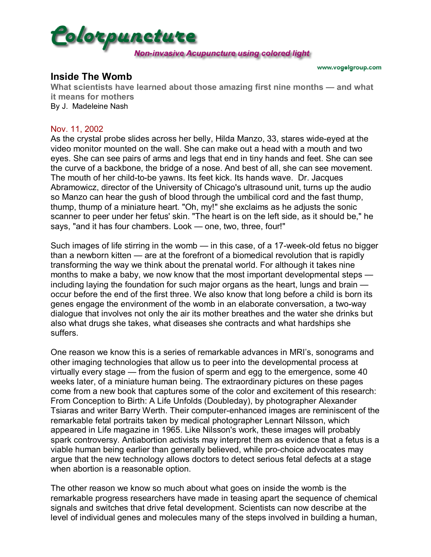

www.vogelgroup.com

## **Inside The Womb**

What scientists have learned about those amazing first nine months - and what **it means for mothers** By J. Madeleine Nash

## Nov. 11, 2002

As the crystal probe slides across her belly, Hilda Manzo, 33, stares wide-eyed at the video monitor mounted on the wall. She can make out a head with a mouth and two eyes. She can see pairs of arms and legs that end in tiny hands and feet. She can see the curve of a backbone, the bridge of a nose. And best of all, she can see movement. The mouth of her child-to-be yawns. Its feet kick. Its hands wave. Dr. Jacques Abramowicz, director of the University of Chicago's ultrasound unit, turns up the audio so Manzo can hear the gush of blood through the umbilical cord and the fast thump, thump, thump of a miniature heart. "Oh, my!" she exclaims as he adjusts the sonic scanner to peer under her fetus' skin. "The heart is on the left side, as it should be," he says, "and it has four chambers. Look – one, two, three, four!"

Such images of life stirring in the womb  $-$  in this case, of a 17-week-old fetus no bigger than a newborn kitten  $-$  are at the forefront of a biomedical revolution that is rapidly transforming the way we think about the prenatal world. For although it takes nine months to make a baby, we now know that the most important developmental steps  $$ including laying the foundation for such major organs as the heart, lungs and brain  $\overline{\phantom{a}}$ occur before the end of the first three. We also know that long before a child is born its genes engage the environment of the womb in an elaborate conversation, a two-way dialogue that involves not only the air its mother breathes and the water she drinks but also what drugs she takes, what diseases she contracts and what hardships she suffers.

One reason we know this is a series of remarkable advances in MRIís, sonograms and other imaging technologies that allow us to peer into the developmental process at virtually every stage  $-$  from the fusion of sperm and egg to the emergence, some 40 weeks later, of a miniature human being. The extraordinary pictures on these pages come from a new book that captures some of the color and excitement of this research: From Conception to Birth: A Life Unfolds (Doubleday), by photographer Alexander Tsiaras and writer Barry Werth. Their computer-enhanced images are reminiscent of the remarkable fetal portraits taken by medical photographer Lennart Nilsson, which appeared in Life magazine in 1965. Like Nilsson's work, these images will probably spark controversy. Antiabortion activists may interpret them as evidence that a fetus is a viable human being earlier than generally believed, while pro-choice advocates may argue that the new technology allows doctors to detect serious fetal defects at a stage when abortion is a reasonable option.

The other reason we know so much about what goes on inside the womb is the remarkable progress researchers have made in teasing apart the sequence of chemical signals and switches that drive fetal development. Scientists can now describe at the level of individual genes and molecules many of the steps involved in building a human,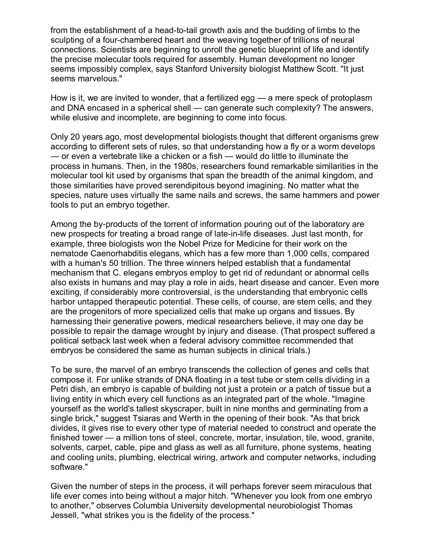from the establishment of a head-to-tail growth axis and the budding of limbs to the sculpting of a four-chambered heart and the weaving together of trillions of neural connections. Scientists are beginning to unroll the genetic blueprint of life and identify the precise molecular tools required for assembly. Human development no longer seems impossibly complex, says Stanford University biologist Matthew Scott. "It just seems marvelous."

How is it, we are invited to wonder, that a fertilized egg  $-$  a mere speck of protoplasm and DNA encased in a spherical shell – can generate such complexity? The answers, while elusive and incomplete, are beginning to come into focus.

Only 20 years ago, most developmental biologists thought that different organisms grew according to different sets of rules, so that understanding how a fly or a worm develops  $\sim$  or even a vertebrate like a chicken or a fish  $\sim$  would do little to illuminate the process in humans. Then, in the 1980s, researchers found remarkable similarities in the molecular tool kit used by organisms that span the breadth of the animal kingdom, and those similarities have proved serendipitous beyond imagining. No matter what the species, nature uses virtually the same nails and screws, the same hammers and power tools to put an embryo together.

Among the by-products of the torrent of information pouring out of the laboratory are new prospects for treating a broad range of late-in-life diseases. Just last month, for example, three biologists won the Nobel Prize for Medicine for their work on the nematode Caenorhabditis elegans, which has a few more than 1,000 cells, compared with a human's 50 trillion. The three winners helped establish that a fundamental mechanism that C. elegans embryos employ to get rid of redundant or abnormal cells also exists in humans and may play a role in aids, heart disease and cancer. Even more exciting, if considerably more controversial, is the understanding that embryonic cells harbor untapped therapeutic potential. These cells, of course, are stem cells, and they are the progenitors of more specialized cells that make up organs and tissues. By harnessing their generative powers, medical researchers believe, it may one day be possible to repair the damage wrought by injury and disease. (That prospect suffered a political setback last week when a federal advisory committee recommended that embryos be considered the same as human subjects in clinical trials.)

To be sure, the marvel of an embryo transcends the collection of genes and cells that compose it. For unlike strands of DNA floating in a test tube or stem cells dividing in a Petri dish, an embryo is capable of building not just a protein or a patch of tissue but a living entity in which every cell functions as an integrated part of the whole. "Imagine yourself as the world's tallest skyscraper, built in nine months and germinating from a single brick," suggest Tsiaras and Werth in the opening of their book. "As that brick divides, it gives rise to every other type of material needed to construct and operate the finished tower – a million tons of steel, concrete, mortar, insulation, tile, wood, granite, solvents, carpet, cable, pipe and glass as well as all furniture, phone systems, heating and cooling units, plumbing, electrical wiring, artwork and computer networks, including software."

Given the number of steps in the process, it will perhaps forever seem miraculous that life ever comes into being without a major hitch. "Whenever you look from one embryo to another," observes Columbia University developmental neurobiologist Thomas Jessell, "what strikes you is the fidelity of the process."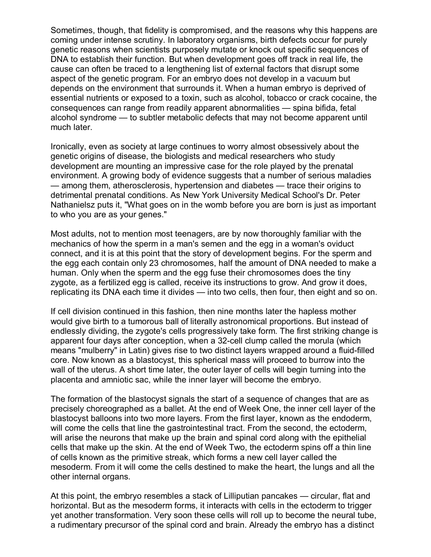Sometimes, though, that fidelity is compromised, and the reasons why this happens are coming under intense scrutiny. In laboratory organisms, birth defects occur for purely genetic reasons when scientists purposely mutate or knock out specific sequences of DNA to establish their function. But when development goes off track in real life, the cause can often be traced to a lengthening list of external factors that disrupt some aspect of the genetic program. For an embryo does not develop in a vacuum but depends on the environment that surrounds it. When a human embryo is deprived of essential nutrients or exposed to a toxin, such as alcohol, tobacco or crack cocaine, the consequences can range from readily apparent abnormalities – spina bifida, fetal alcohol syndrome — to subtler metabolic defects that may not become apparent until much later.

Ironically, even as society at large continues to worry almost obsessively about the genetic origins of disease, the biologists and medical researchers who study development are mounting an impressive case for the role played by the prenatal environment. A growing body of evidence suggests that a number of serious maladies  $-$  among them, atherosclerosis, hypertension and diabetes  $-$  trace their origins to detrimental prenatal conditions. As New York University Medical School's Dr. Peter Nathanielsz puts it, "What goes on in the womb before you are born is just as important to who you are as your genes."

Most adults, not to mention most teenagers, are by now thoroughly familiar with the mechanics of how the sperm in a man's semen and the egg in a woman's oviduct connect, and it is at this point that the story of development begins. For the sperm and the egg each contain only 23 chromosomes, half the amount of DNA needed to make a human. Only when the sperm and the egg fuse their chromosomes does the tiny zygote, as a fertilized egg is called, receive its instructions to grow. And grow it does, replicating its DNA each time it divides – into two cells, then four, then eight and so on.

If cell division continued in this fashion, then nine months later the hapless mother would give birth to a tumorous ball of literally astronomical proportions. But instead of endlessly dividing, the zygote's cells progressively take form. The first striking change is apparent four days after conception, when a 32-cell clump called the morula (which means "mulberry" in Latin) gives rise to two distinct layers wrapped around a fluid-filled core. Now known as a blastocyst, this spherical mass will proceed to burrow into the wall of the uterus. A short time later, the outer layer of cells will begin turning into the placenta and amniotic sac, while the inner layer will become the embryo.

The formation of the blastocyst signals the start of a sequence of changes that are as precisely choreographed as a ballet. At the end of Week One, the inner cell layer of the blastocyst balloons into two more layers. From the first layer, known as the endoderm, will come the cells that line the gastrointestinal tract. From the second, the ectoderm, will arise the neurons that make up the brain and spinal cord along with the epithelial cells that make up the skin. At the end of Week Two, the ectoderm spins off a thin line of cells known as the primitive streak, which forms a new cell layer called the mesoderm. From it will come the cells destined to make the heart, the lungs and all the other internal organs.

At this point, the embryo resembles a stack of Lilliputian pancakes — circular, flat and horizontal. But as the mesoderm forms, it interacts with cells in the ectoderm to trigger yet another transformation. Very soon these cells will roll up to become the neural tube, a rudimentary precursor of the spinal cord and brain. Already the embryo has a distinct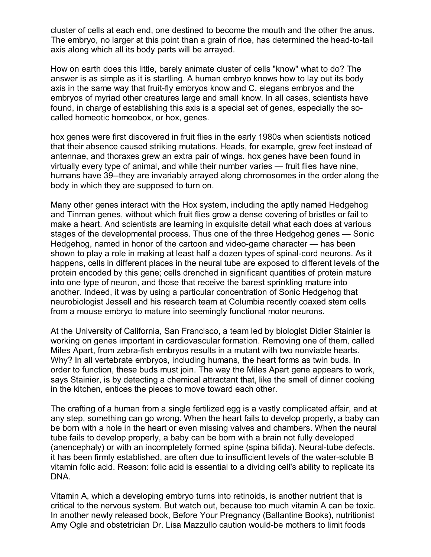cluster of cells at each end, one destined to become the mouth and the other the anus. The embryo, no larger at this point than a grain of rice, has determined the head-to-tail axis along which all its body parts will be arrayed.

How on earth does this little, barely animate cluster of cells "know" what to do? The answer is as simple as it is startling. A human embryo knows how to lay out its body axis in the same way that fruit-fly embryos know and C. elegans embryos and the embryos of myriad other creatures large and small know. In all cases, scientists have found, in charge of establishing this axis is a special set of genes, especially the socalled homeotic homeobox, or hox, genes.

hox genes were first discovered in fruit flies in the early 1980s when scientists noticed that their absence caused striking mutations. Heads, for example, grew feet instead of antennae, and thoraxes grew an extra pair of wings. hox genes have been found in virtually every type of animal, and while their number varies — fruit flies have nine, humans have 39--they are invariably arrayed along chromosomes in the order along the body in which they are supposed to turn on.

Many other genes interact with the Hox system, including the aptly named Hedgehog and Tinman genes, without which fruit flies grow a dense covering of bristles or fail to make a heart. And scientists are learning in exquisite detail what each does at various stages of the developmental process. Thus one of the three Hedgehog genes — Sonic Hedgehog, named in honor of the cartoon and video-game character  $-$  has been shown to play a role in making at least half a dozen types of spinal-cord neurons. As it happens, cells in different places in the neural tube are exposed to different levels of the protein encoded by this gene; cells drenched in significant quantities of protein mature into one type of neuron, and those that receive the barest sprinkling mature into another. Indeed, it was by using a particular concentration of Sonic Hedgehog that neurobiologist Jessell and his research team at Columbia recently coaxed stem cells from a mouse embryo to mature into seemingly functional motor neurons.

At the University of California, San Francisco, a team led by biologist Didier Stainier is working on genes important in cardiovascular formation. Removing one of them, called Miles Apart, from zebra-fish embryos results in a mutant with two nonviable hearts. Why? In all vertebrate embryos, including humans, the heart forms as twin buds. In order to function, these buds must join. The way the Miles Apart gene appears to work, says Stainier, is by detecting a chemical attractant that, like the smell of dinner cooking in the kitchen, entices the pieces to move toward each other.

The crafting of a human from a single fertilized egg is a vastly complicated affair, and at any step, something can go wrong. When the heart fails to develop properly, a baby can be born with a hole in the heart or even missing valves and chambers. When the neural tube fails to develop properly, a baby can be born with a brain not fully developed (anencephaly) or with an incompletely formed spine (spina bifida). Neural-tube defects, it has been firmly established, are often due to insufficient levels of the water-soluble B vitamin folic acid. Reason: folic acid is essential to a dividing cell's ability to replicate its DNA.

Vitamin A, which a developing embryo turns into retinoids, is another nutrient that is critical to the nervous system. But watch out, because too much vitamin A can be toxic. In another newly released book, Before Your Pregnancy (Ballantine Books), nutritionist Amy Ogle and obstetrician Dr. Lisa Mazzullo caution would-be mothers to limit foods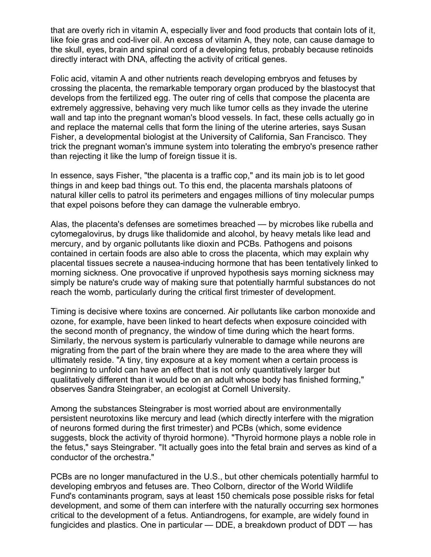that are overly rich in vitamin A, especially liver and food products that contain lots of it, like foie gras and cod-liver oil. An excess of vitamin A, they note, can cause damage to the skull, eyes, brain and spinal cord of a developing fetus, probably because retinoids directly interact with DNA, affecting the activity of critical genes.

Folic acid, vitamin A and other nutrients reach developing embryos and fetuses by crossing the placenta, the remarkable temporary organ produced by the blastocyst that develops from the fertilized egg. The outer ring of cells that compose the placenta are extremely aggressive, behaving very much like tumor cells as they invade the uterine wall and tap into the pregnant woman's blood vessels. In fact, these cells actually go in and replace the maternal cells that form the lining of the uterine arteries, says Susan Fisher, a developmental biologist at the University of California, San Francisco. They trick the pregnant woman's immune system into tolerating the embryo's presence rather than rejecting it like the lump of foreign tissue it is.

In essence, says Fisher, "the placenta is a traffic cop," and its main job is to let good things in and keep bad things out. To this end, the placenta marshals platoons of natural killer cells to patrol its perimeters and engages millions of tiny molecular pumps that expel poisons before they can damage the vulnerable embryo.

Alas, the placenta's defenses are sometimes breached — by microbes like rubella and cytomegalovirus, by drugs like thalidomide and alcohol, by heavy metals like lead and mercury, and by organic pollutants like dioxin and PCBs. Pathogens and poisons contained in certain foods are also able to cross the placenta, which may explain why placental tissues secrete a nausea-inducing hormone that has been tentatively linked to morning sickness. One provocative if unproved hypothesis says morning sickness may simply be nature's crude way of making sure that potentially harmful substances do not reach the womb, particularly during the critical first trimester of development.

Timing is decisive where toxins are concerned. Air pollutants like carbon monoxide and ozone, for example, have been linked to heart defects when exposure coincided with the second month of pregnancy, the window of time during which the heart forms. Similarly, the nervous system is particularly vulnerable to damage while neurons are migrating from the part of the brain where they are made to the area where they will ultimately reside. "A tiny, tiny exposure at a key moment when a certain process is beginning to unfold can have an effect that is not only quantitatively larger but qualitatively different than it would be on an adult whose body has finished forming," observes Sandra Steingraber, an ecologist at Cornell University.

Among the substances Steingraber is most worried about are environmentally persistent neurotoxins like mercury and lead (which directly interfere with the migration of neurons formed during the first trimester) and PCBs (which, some evidence suggests, block the activity of thyroid hormone). "Thyroid hormone plays a noble role in the fetus," says Steingraber. "It actually goes into the fetal brain and serves as kind of a conductor of the orchestra."

PCBs are no longer manufactured in the U.S., but other chemicals potentially harmful to developing embryos and fetuses are. Theo Colborn, director of the World Wildlife Fund's contaminants program, says at least 150 chemicals pose possible risks for fetal development, and some of them can interfere with the naturally occurring sex hormones critical to the development of a fetus. Antiandrogens, for example, are widely found in fungicides and plastics. One in particular  $-$  DDE, a breakdown product of DDT  $-$  has